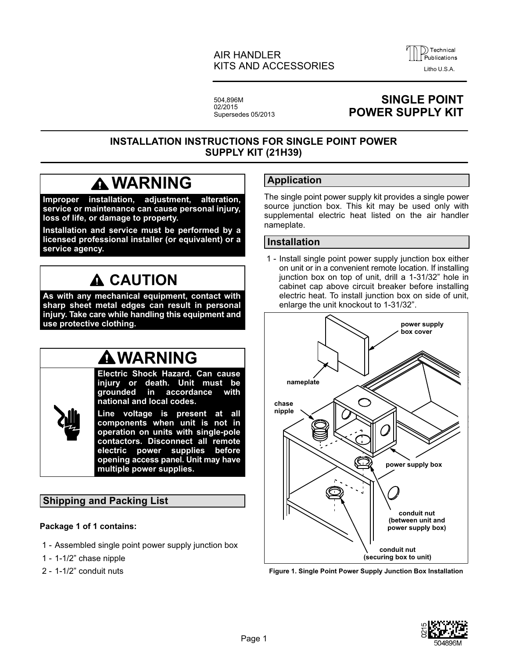### AIR HANDLER KITS AND ACCESSORIES



504,896M 02/2015 Supersedes 05/2013

## **SINGLE POINT POWER SUPPLY KIT**

### **INSTALLATION INSTRUCTIONS FOR SINGLE POINT POWER SUPPLY KIT (21H39)**

# **WARNING**

**Improper installation, adjustment, alteration, service or maintenance can cause personal injury, loss of life, or damage to property.**

**Installation and service must be performed by a licensed professional installer (or equivalent) or a service agency.**

# **A CAUTION**

**As with any mechanical equipment, contact with sharp sheet metal edges can result in personal injury. Take care while handling this equipment and use protective clothing.**

# **WARNING**

**Electric Shock Hazard. Can cause injury or death. Unit must be grounded in accordance with national and local codes. Line voltage is present at all components when unit is not in operation on units with single‐pole contactors. Disconnect all remote electric power supplies before opening access panel. Unit may have multiple power supplies.**

### **Shipping and Packing List**

#### **Package 1 of 1 contains:**

- 1 Assembled single point power supply junction box
- 1 1-1/2" chase nipple
- 2 1-1/2" conduit nuts

### **Application**

The single point power supply kit provides a single power source junction box. This kit may be used only with supplemental electric heat listed on the air handler nameplate.

#### **Installation**

 1 - Install single point power supply junction box either on unit or in a convenient remote location. If installing junction box on top of unit, drill a 1-31/32" hole in cabinet cap above circuit breaker before installing electric heat. To install junction box on side of unit, enlarge the unit knockout to 1-31/32".



#### **Figure 1. Single Point Power Supply Junction Box Installation**